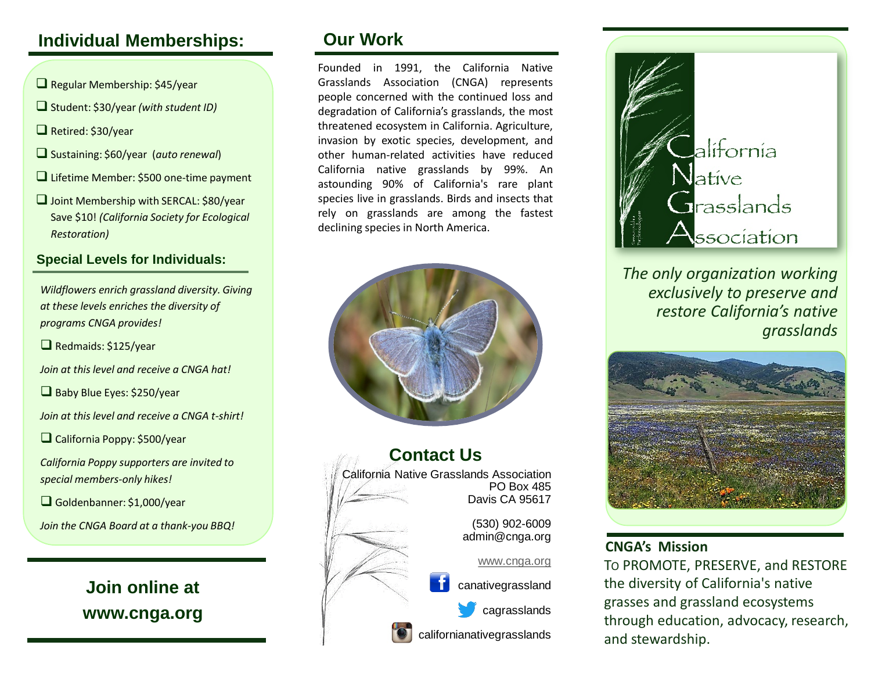# **Individual Memberships:**

- $\Box$  Regular Membership: \$45/year
- Student: \$30/year *(with student ID)*
- Retired: \$30/year
- Sustaining: \$60/year (*auto renewal*)
- Lifetime Member: \$500 one-time payment
- □ Joint Membership with SERCAL: \$80/year Save \$10! *(California Society for Ecological Restoration)*

## **Special Levels for Individuals:**

*Wildflowers enrich grassland diversity. Giving at these levels enriches the diversity of programs CNGA provides!*

Redmaids: \$125/year

*Join at this level and receive a CNGA hat!*

Baby Blue Eyes: \$250/year

*Join at this level and receive a CNGA t-shirt!*

California Poppy: \$500/year

*California Poppy supporters are invited to special members-only hikes!*

Goldenbanner: \$1,000/year

*Join the CNGA Board at a thank-you BBQ!*

**Join online at www.cnga.org**

# **Our Work**

Founded in 1991, the California Native Grasslands Association (CNGA) represents people concerned with the continued loss and degradation of California's grasslands, the most threatened ecosystem in California. Agriculture, invasion by exotic species, development, and other human-related activities have reduced California native grasslands by 99%. An astounding 90% of California's rare plant species live in grasslands. Birds and insects that rely on grasslands are among the fastest declining species in North America.







*The only organization working exclusively to preserve and restore California's native grasslands*



## **CNGA's Mission**

TO PROMOTE, PRESERVE, and RESTORE the diversity of California's native grasses and grassland ecosystems through education, advocacy, research, and stewardship.